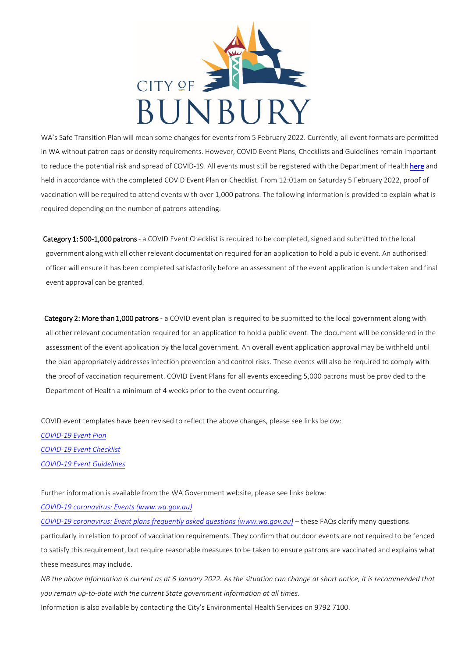

WA's Safe Transition Plan will mean some changes for events from 5 February 2022. Currently, all event formats are permitted in WA without patron caps or density requirements. However, COVID Event Plans, Checklists and Guidelines remain important to reduce the potential risk and spread of COVID-19. All events must still be registered with the Department of Health here and held in accordance with the completed COVID Event Plan or Checklist. From 12:01am on Saturday 5 February 2022, proof of vaccination will be required to attend events with over 1,000 patrons. The following information is provided to explain what is required depending on the number of patrons attending.

Category 1: 500-1,000 patrons - a COVID Event Checklist is required to be completed, signed and submitted to the local government along with all other relevant documentation required for an application to hold a public event. An authorised officer will ensure it has been completed satisfactorily before an assessment of the event application is undertaken and final event approval can be granted*.* 

Category 2: More than 1,000 patrons - a COVID event plan is required to be submitted to the local government along with all other relevant documentation required for an application to hold a public event. The document will be considered in the assessment of the event application by the local government. An overall event application approval may be withheld until the plan appropriately addresses infection prevention and control risks. These events will also be required to comply with the proof of vaccination requirement. COVID Event Plans for all events exceeding 5,000 patrons must be provided to the Department of Health a minimum of 4 weeks prior to the event occurring.

COVID event templates have been revised to reflect the above changes, please see links below: *[COVID-19](https://www.wa.gov.au/government/publications/covid-19-event-plan-0) Event Plan [COVID-19](https://www.wa.gov.au/government/publications/covid-19-event-checklist) Event Checklist COVID-19 Event [Guidelines](https://www.wa.gov.au/government/publications/covid-19-event-checklist)* 

Further information is available from the WA Government website, please see links below:

*COVID-19 coronavirus: Events [\(www.wa.gov.au\)](https://www.wa.gov.au/government/document-collections/covid-19-coronavirus-events)* 

*COVID-19 coronavirus: Event plans frequently asked questions [\(www.wa.gov.au\)](https://www.wa.gov.au/government/publications/covid-19-coronavirus-event-plans-frequently-asked-questions) –* these FAQs clarify many questions particularly in relation to proof of vaccination requirements. They confirm that outdoor events are not required to be fenced to satisfy this requirement, but require reasonable measures to be taken to ensure patrons are vaccinated and explains what these measures may include.

NB the above information is current as at 6 January 2022. As the situation can change at short notice, it is recommended that *you remain up-to-date with the current State government information at all times.*

Information is also available by contacting the City's Environmental Health Services on 9792 7100.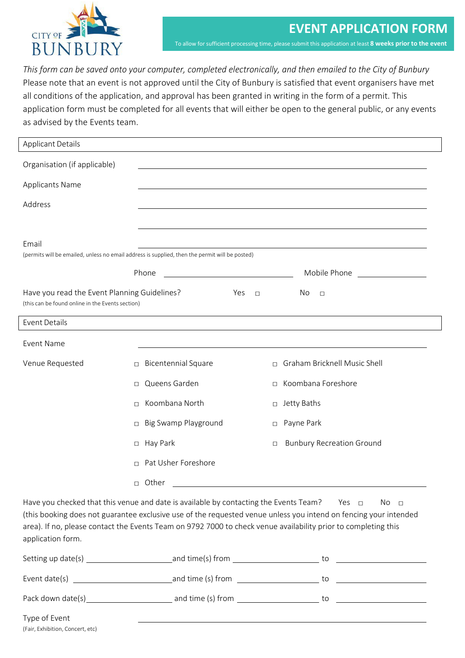

*This form can be saved onto your computer, completed electronically, and then emailed to the City of Bunbury* Please note that an event is not approved until the City of Bunbury is satisfied that event organisers have met all conditions of the application, and approval has been granted in writing in the form of a permit. This application form must be completed for all events that will either be open to the general public, or any events as advised by the Events team.

| <b>Applicant Details</b>                                                                                                                                                                                                                                                                                                                                                          |                                                                                                |                                        |  |  |  |
|-----------------------------------------------------------------------------------------------------------------------------------------------------------------------------------------------------------------------------------------------------------------------------------------------------------------------------------------------------------------------------------|------------------------------------------------------------------------------------------------|----------------------------------------|--|--|--|
| Organisation (if applicable)                                                                                                                                                                                                                                                                                                                                                      |                                                                                                |                                        |  |  |  |
| <b>Applicants Name</b>                                                                                                                                                                                                                                                                                                                                                            |                                                                                                |                                        |  |  |  |
| Address                                                                                                                                                                                                                                                                                                                                                                           |                                                                                                |                                        |  |  |  |
|                                                                                                                                                                                                                                                                                                                                                                                   |                                                                                                |                                        |  |  |  |
| Email                                                                                                                                                                                                                                                                                                                                                                             | (permits will be emailed, unless no email address is supplied, then the permit will be posted) |                                        |  |  |  |
|                                                                                                                                                                                                                                                                                                                                                                                   | Phone<br><u> 1980 - Johann Barbara, martin a</u>                                               | Mobile Phone                           |  |  |  |
| Have you read the Event Planning Guidelines?<br>(this can be found online in the Events section)                                                                                                                                                                                                                                                                                  | Yes<br>$\Box$                                                                                  | No.<br>$\Box$                          |  |  |  |
| <b>Event Details</b>                                                                                                                                                                                                                                                                                                                                                              |                                                                                                |                                        |  |  |  |
| <b>Event Name</b>                                                                                                                                                                                                                                                                                                                                                                 |                                                                                                |                                        |  |  |  |
| Venue Requested                                                                                                                                                                                                                                                                                                                                                                   | <b>Bicentennial Square</b><br>$\Box$                                                           | Graham Bricknell Music Shell<br>$\Box$ |  |  |  |
|                                                                                                                                                                                                                                                                                                                                                                                   | Queens Garden<br>$\Box$                                                                        | Koombana Foreshore<br>$\Box$           |  |  |  |
|                                                                                                                                                                                                                                                                                                                                                                                   | Koombana North<br>$\Box$                                                                       | Jetty Baths<br>$\Box$                  |  |  |  |
|                                                                                                                                                                                                                                                                                                                                                                                   | Big Swamp Playground<br>П                                                                      | Payne Park<br>$\Box$                   |  |  |  |
|                                                                                                                                                                                                                                                                                                                                                                                   | Hay Park<br>$\Box$                                                                             | <b>Bunbury Recreation Ground</b><br>П  |  |  |  |
|                                                                                                                                                                                                                                                                                                                                                                                   | Pat Usher Foreshore<br>$\Box$                                                                  |                                        |  |  |  |
|                                                                                                                                                                                                                                                                                                                                                                                   | □ Other                                                                                        |                                        |  |  |  |
| Have you checked that this venue and date is available by contacting the Events Team?<br>No <sub>1</sub><br>Yes $\Box$<br>(this booking does not guarantee exclusive use of the requested venue unless you intend on fencing your intended<br>area). If no, please contact the Events Team on 9792 7000 to check venue availability prior to completing this<br>application form. |                                                                                                |                                        |  |  |  |
| Setting up date(s)                                                                                                                                                                                                                                                                                                                                                                | and time(s) from                                                                               | to                                     |  |  |  |

| Setting up date(s) | and time(s) from  | to |  |
|--------------------|-------------------|----|--|
| Event date(s)      | and time (s) from | tο |  |
| Pack down date(s)  | and time (s) from | to |  |
| Type of Event      |                   |    |  |

(Fair, Exhibition, Concert, etc)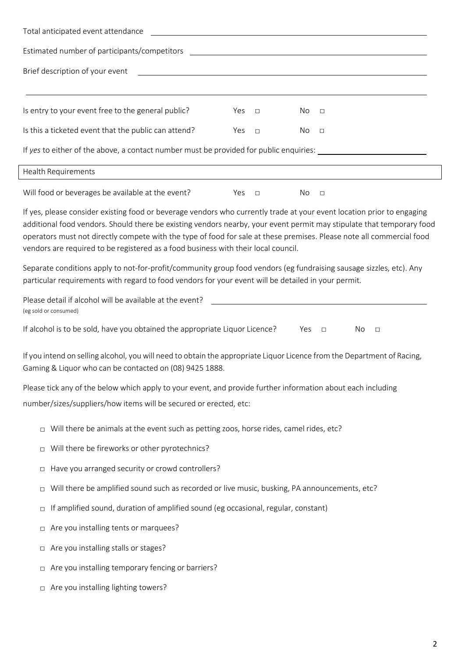| Total anticipated event attendance                                                                                                                                                                                                                                                                                                                                                                                                                             |     |        |     |                                                                                                                  |  |
|----------------------------------------------------------------------------------------------------------------------------------------------------------------------------------------------------------------------------------------------------------------------------------------------------------------------------------------------------------------------------------------------------------------------------------------------------------------|-----|--------|-----|------------------------------------------------------------------------------------------------------------------|--|
| Estimated number of participants/competitors ___________________________________                                                                                                                                                                                                                                                                                                                                                                               |     |        |     |                                                                                                                  |  |
| Brief description of your event                                                                                                                                                                                                                                                                                                                                                                                                                                |     |        |     | and the control of the control of the control of the control of the control of the control of the control of the |  |
| Is entry to your event free to the general public?                                                                                                                                                                                                                                                                                                                                                                                                             | Yes | $\Box$ | No  | $\Box$                                                                                                           |  |
| Is this a ticketed event that the public can attend?                                                                                                                                                                                                                                                                                                                                                                                                           | Yes | $\Box$ | No  | $\Box$                                                                                                           |  |
| If yes to either of the above, a contact number must be provided for public enquiries: ______________________                                                                                                                                                                                                                                                                                                                                                  |     |        |     |                                                                                                                  |  |
| Health Requirements                                                                                                                                                                                                                                                                                                                                                                                                                                            |     |        |     |                                                                                                                  |  |
| Will food or beverages be available at the event?                                                                                                                                                                                                                                                                                                                                                                                                              | Yes | $\Box$ | No  | $\Box$                                                                                                           |  |
| If yes, please consider existing food or beverage vendors who currently trade at your event location prior to engaging<br>additional food vendors. Should there be existing vendors nearby, your event permit may stipulate that temporary food<br>operators must not directly compete with the type of food for sale at these premises. Please note all commercial food<br>vendors are required to be registered as a food business with their local council. |     |        |     |                                                                                                                  |  |
| Separate conditions apply to not-for-profit/community group food vendors (eg fundraising sausage sizzles, etc). Any<br>particular requirements with regard to food vendors for your event will be detailed in your permit.                                                                                                                                                                                                                                     |     |        |     |                                                                                                                  |  |
| Please detail if alcohol will be available at the event?<br>(eg sold or consumed)                                                                                                                                                                                                                                                                                                                                                                              |     |        |     |                                                                                                                  |  |
| If alcohol is to be sold, have you obtained the appropriate Liquor Licence?                                                                                                                                                                                                                                                                                                                                                                                    |     |        | Yes | No<br>$\Box$<br>$\Box$                                                                                           |  |
| If you intend on selling alcohol, you will need to obtain the appropriate Liquor Licence from the Department of Racing,<br>Gaming & Liquor who can be contacted on (08) 9425 1888.                                                                                                                                                                                                                                                                             |     |        |     |                                                                                                                  |  |
| Please tick any of the below which apply to your event, and provide further information about each including                                                                                                                                                                                                                                                                                                                                                   |     |        |     |                                                                                                                  |  |
| number/sizes/suppliers/how items will be secured or erected, etc:                                                                                                                                                                                                                                                                                                                                                                                              |     |        |     |                                                                                                                  |  |
| Will there be animals at the event such as petting zoos, horse rides, camel rides, etc?<br>$\Box$                                                                                                                                                                                                                                                                                                                                                              |     |        |     |                                                                                                                  |  |
| Will there be fireworks or other pyrotechnics?<br>$\Box$                                                                                                                                                                                                                                                                                                                                                                                                       |     |        |     |                                                                                                                  |  |
| Have you arranged security or crowd controllers?<br>$\Box$                                                                                                                                                                                                                                                                                                                                                                                                     |     |        |     |                                                                                                                  |  |
| Will there be amplified sound such as recorded or live music, busking, PA announcements, etc?<br>$\Box$                                                                                                                                                                                                                                                                                                                                                        |     |        |     |                                                                                                                  |  |
| If amplified sound, duration of amplified sound (eg occasional, regular, constant)<br>$\Box$                                                                                                                                                                                                                                                                                                                                                                   |     |        |     |                                                                                                                  |  |
| Are you installing tents or marquees?<br>$\Box$                                                                                                                                                                                                                                                                                                                                                                                                                |     |        |     |                                                                                                                  |  |
| Are you installing stalls or stages?<br>□                                                                                                                                                                                                                                                                                                                                                                                                                      |     |        |     |                                                                                                                  |  |
| Are you installing temporary fencing or barriers?<br>$\Box$                                                                                                                                                                                                                                                                                                                                                                                                    |     |        |     |                                                                                                                  |  |

□ Are you installing lighting towers?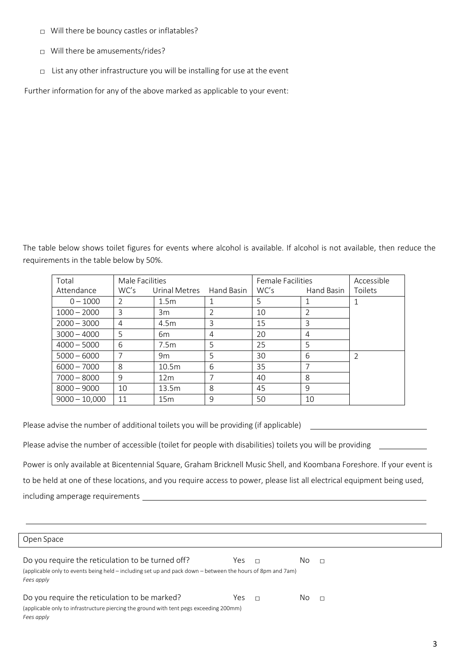- $\Box$  Will there be bouncy castles or inflatables?
- □ Will there be amusements/rides?
- $\Box$  List any other infrastructure you will be installing for use at the event

Further information for any of the above marked as applicable to your event:

The table below shows toilet figures for events where alcohol is available. If alcohol is not available, then reduce the requirements in the table below by 50%.

| Total           | Male Facilities |                 | <b>Female Facilities</b> | Accessible |                |                |
|-----------------|-----------------|-----------------|--------------------------|------------|----------------|----------------|
| Attendance      | WC's            | Urinal Metres   | Hand Basin               | WC's       | Hand Basin     | Toilets        |
| $0 - 1000$      | 2               | 1.5m            |                          | 5          |                |                |
| $1000 - 2000$   | 3               | 3m              | $\mathcal{P}$            | 10         | 2              |                |
| $2000 - 3000$   | 4               | 4.5m            | 3                        | 15         | 3              |                |
| $3000 - 4000$   | 5               | 6 <sub>m</sub>  | 4                        | 20         | 4              |                |
| $4000 - 5000$   | 6               | 7.5m            | .5                       | 25         | 5              |                |
| $5000 - 6000$   | 7               | 9m              | 5                        | 30         | 6              | $\overline{2}$ |
| $6000 - 7000$   | 8               | 10.5m           | 6                        | 35         | $\overline{7}$ |                |
| $7000 - 8000$   | 9               | 12 <sub>m</sub> | 7                        | 40         | 8              |                |
| $8000 - 9000$   | 10              | 13.5m           | 8                        | 45         | 9              |                |
| $9000 - 10,000$ | 11              | 15m             | 9                        | 50         | 10             |                |

Please advise the number of additional toilets you will be providing (if applicable)

Please advise the number of accessible (toilet for people with disabilities) toilets you will be providing

Power is only available at Bicentennial Square, Graham Bricknell Music Shell, and Koombana Foreshore. If your event is to be held at one of these locations, and you require access to power, please list all electrical equipment being used, including amperage requirements

Open Space

| Do you require the reticulation to be turned off?<br>(applicable only to events being held – including set up and pack down – between the hours of 8pm and 7am)<br>Fees apply | Yes |  | NΩ | П |  |
|-------------------------------------------------------------------------------------------------------------------------------------------------------------------------------|-----|--|----|---|--|
| Do you require the reticulation to be marked?                                                                                                                                 | Yes |  | ΝO | П |  |
| (applicable only to infrastructure piercing the ground with tent pegs exceeding 200mm)                                                                                        |     |  |    |   |  |
| Fees apply                                                                                                                                                                    |     |  |    |   |  |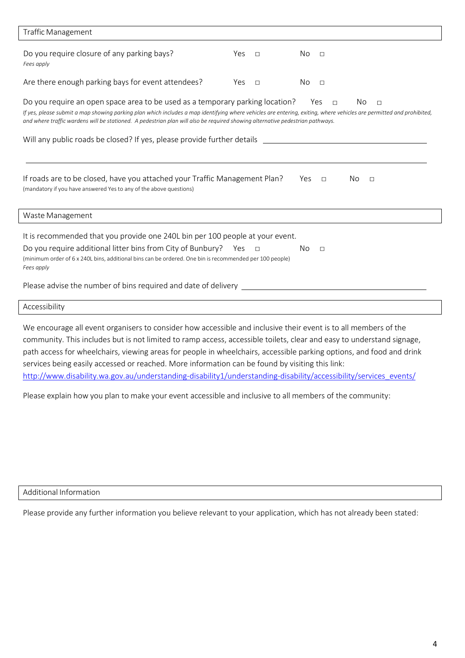| <b>Traffic Management</b>                                                                                                                                                                                                                                                                                                                                                                                                |               |                           |  |  |  |
|--------------------------------------------------------------------------------------------------------------------------------------------------------------------------------------------------------------------------------------------------------------------------------------------------------------------------------------------------------------------------------------------------------------------------|---------------|---------------------------|--|--|--|
| Do you require closure of any parking bays?<br>Fees apply                                                                                                                                                                                                                                                                                                                                                                | Yes<br>$\Box$ | No.<br>$\Box$             |  |  |  |
| Are there enough parking bays for event attendees?                                                                                                                                                                                                                                                                                                                                                                       | Yes<br>$\Box$ | No<br>$\Box$              |  |  |  |
| Do you require an open space area to be used as a temporary parking location?<br>Yes<br>No.<br>$\Box$<br>$\Box$<br>If yes, please submit a map showing parking plan which includes a map identifying where vehicles are entering, exiting, where vehicles are permitted and prohibited,<br>and where traffic wardens will be stationed. A pedestrian plan will also be required showing alternative pedestrian pathways. |               |                           |  |  |  |
| Will any public roads be closed? If yes, please provide further details ___________________________                                                                                                                                                                                                                                                                                                                      |               |                           |  |  |  |
| If roads are to be closed, have you attached your Traffic Management Plan?<br>(mandatory if you have answered Yes to any of the above questions)                                                                                                                                                                                                                                                                         |               | Yes<br>No.<br>$\Box$<br>Л |  |  |  |
| Waste Management                                                                                                                                                                                                                                                                                                                                                                                                         |               |                           |  |  |  |
| It is recommended that you provide one 240L bin per 100 people at your event.<br>Do you require additional litter bins from City of Bunbury? Yes<br>(minimum order of 6 x 240L bins, additional bins can be ordered. One bin is recommended per 100 people)<br>Fees apply                                                                                                                                                | $\Box$        | No.<br>$\Box$             |  |  |  |
| Please advise the number of bins required and date of delivery _________                                                                                                                                                                                                                                                                                                                                                 |               |                           |  |  |  |
| Accessibility                                                                                                                                                                                                                                                                                                                                                                                                            |               |                           |  |  |  |

We encourage all event organisers to consider how accessible and inclusive their event is to all members of the community. This includes but is not limited to ramp access, accessible toilets, clear and easy to understand signage, path access for wheelchairs, viewing areas for people in wheelchairs, accessible parking options, and food and drink services being easily accessed or reached. More information can be found by visiting this link: [http://www.disability.wa.gov.au/understanding-disability1/understanding-disability/accessibility/services\\_events/](http://www.disability.wa.gov.au/understanding-disability1/understanding-disability/accessibility/services_events/)

Please explain how you plan to make your event accessible and inclusive to all members of the community:

Additional Information

Please provide any further information you believe relevant to your application, which has not already been stated: